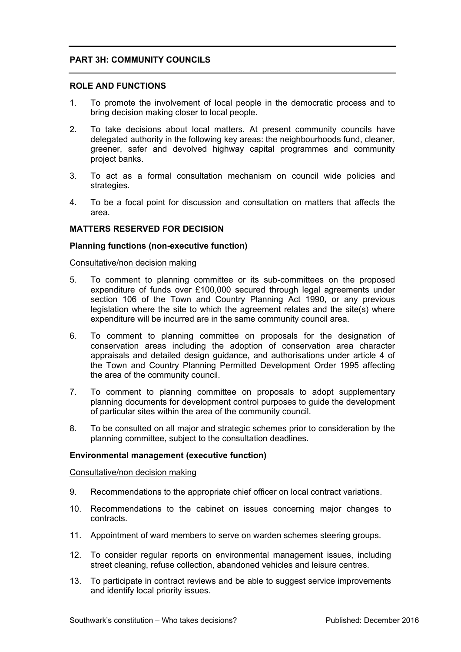# **PART 3H: COMMUNITY COUNCILS**

# **ROLE AND FUNCTIONS**

- 1. To promote the involvement of local people in the democratic process and to bring decision making closer to local people.
- 2. To take decisions about local matters. At present community councils have delegated authority in the following key areas: the neighbourhoods fund, cleaner, greener, safer and devolved highway capital programmes and community project banks.
- 3. To act as a formal consultation mechanism on council wide policies and strategies.
- 4. To be a focal point for discussion and consultation on matters that affects the area.

# **MATTERS RESERVED FOR DECISION**

# **Planning functions (non-executive function)**

### Consultative/non decision making

- 5. To comment to planning committee or its sub-committees on the proposed expenditure of funds over £100,000 secured through legal agreements under section 106 of the Town and Country Planning Act 1990, or any previous legislation where the site to which the agreement relates and the site(s) where expenditure will be incurred are in the same community council area.
- 6. To comment to planning committee on proposals for the designation of conservation areas including the adoption of conservation area character appraisals and detailed design guidance, and authorisations under article 4 of the Town and Country Planning Permitted Development Order 1995 affecting the area of the community council.
- 7. To comment to planning committee on proposals to adopt supplementary planning documents for development control purposes to guide the development of particular sites within the area of the community council.
- 8. To be consulted on all major and strategic schemes prior to consideration by the planning committee, subject to the consultation deadlines.

### **Environmental management (executive function)**

### Consultative/non decision making

- 9. Recommendations to the appropriate chief officer on local contract variations.
- 10. Recommendations to the cabinet on issues concerning major changes to contracts.
- 11. Appointment of ward members to serve on warden schemes steering groups.
- 12. To consider regular reports on environmental management issues, including street cleaning, refuse collection, abandoned vehicles and leisure centres.
- 13. To participate in contract reviews and be able to suggest service improvements and identify local priority issues.